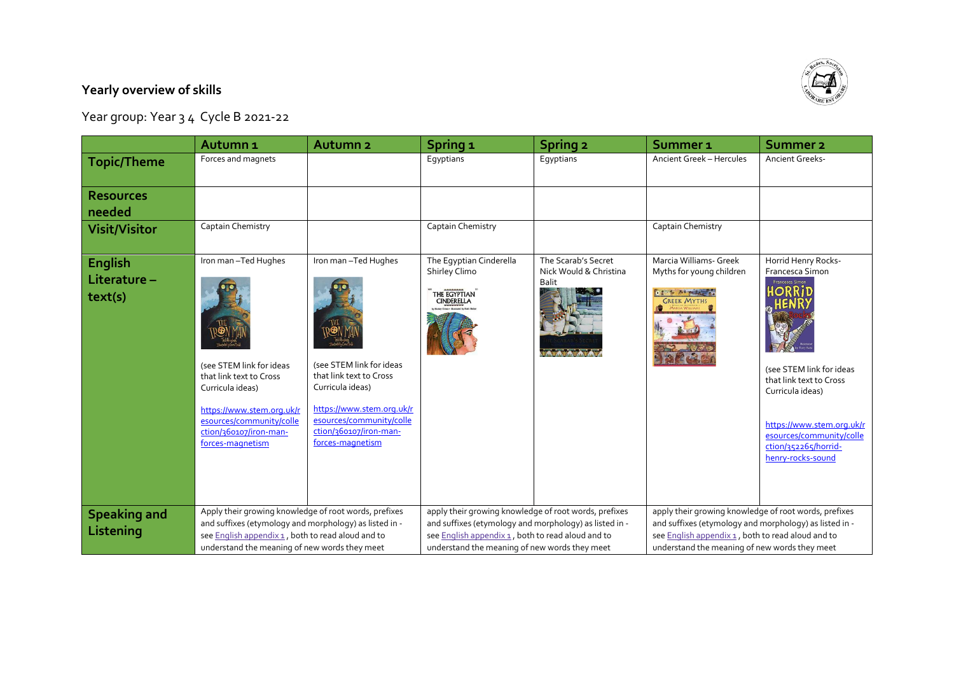## **Yearly overview of skills**

Year group: Year 3 4 Cycle B 2021-22

|                                    | Autumn <sub>1</sub>                                                                                                                                                                                                   | Autumn <sub>2</sub>                                                                                                                                                                                   | Spring <sub>1</sub>                                                                                                                                                                                                   | <b>Spring 2</b>                                               | Summer 1                                                                                                                                                                                                              | <b>Summer 2</b>                                                                                                                                                                                                                                             |
|------------------------------------|-----------------------------------------------------------------------------------------------------------------------------------------------------------------------------------------------------------------------|-------------------------------------------------------------------------------------------------------------------------------------------------------------------------------------------------------|-----------------------------------------------------------------------------------------------------------------------------------------------------------------------------------------------------------------------|---------------------------------------------------------------|-----------------------------------------------------------------------------------------------------------------------------------------------------------------------------------------------------------------------|-------------------------------------------------------------------------------------------------------------------------------------------------------------------------------------------------------------------------------------------------------------|
| <b>Topic/Theme</b>                 | Forces and magnets                                                                                                                                                                                                    |                                                                                                                                                                                                       | Eqyptians                                                                                                                                                                                                             | Egyptians                                                     | <b>Ancient Greek - Hercules</b>                                                                                                                                                                                       | <b>Ancient Greeks-</b>                                                                                                                                                                                                                                      |
| <b>Resources</b><br>needed         |                                                                                                                                                                                                                       |                                                                                                                                                                                                       |                                                                                                                                                                                                                       |                                                               |                                                                                                                                                                                                                       |                                                                                                                                                                                                                                                             |
| <b>Visit/Visitor</b>               | Captain Chemistry                                                                                                                                                                                                     |                                                                                                                                                                                                       | Captain Chemistry                                                                                                                                                                                                     |                                                               | Captain Chemistry                                                                                                                                                                                                     |                                                                                                                                                                                                                                                             |
| English<br>Literature -<br>text(s) | Iron man-Ted Hughes<br>(see STEM link for ideas<br>that link text to Cross<br>Curricula ideas)<br>https://www.stem.org.uk/r<br>esources/community/colle<br>ction/360107/iron-man-<br>forces-magnetism                 | Iron man-Ted Hughes<br>(see STEM link for ideas<br>that link text to Cross<br>Curricula ideas)<br>https://www.stem.org.uk/r<br>esources/community/colle<br>ction/360107/iron-man-<br>forces-magnetism | The Eqyptian Cinderella<br>Shirley Climo<br>THE EGYPTIAN                                                                                                                                                              | The Scarab's Secret<br>Nick Would & Christina<br><b>Balit</b> | Marcia Williams- Greek<br>Myths for young children<br>a finto del patterno.<br><b>GREEK MYTHS</b>                                                                                                                     | Horrid Henry Rocks-<br>Francesca Simon<br>Francesca Simon<br><b>IORRIT</b><br>(see STEM link for ideas<br>that link text to Cross<br>Curricula ideas)<br>https://www.stem.org.uk/r<br>esources/community/colle<br>ction/352265/horrid-<br>henry-rocks-sound |
| <b>Speaking and</b><br>Listening   | Apply their growing knowledge of root words, prefixes<br>and suffixes (etymology and morphology) as listed in -<br>see English appendix 1, both to read aloud and to<br>understand the meaning of new words they meet |                                                                                                                                                                                                       | apply their growing knowledge of root words, prefixes<br>and suffixes (etymology and morphology) as listed in -<br>see English appendix 1, both to read aloud and to<br>understand the meaning of new words they meet |                                                               | apply their growing knowledge of root words, prefixes<br>and suffixes (etymology and morphology) as listed in -<br>see English appendix 1, both to read aloud and to<br>understand the meaning of new words they meet |                                                                                                                                                                                                                                                             |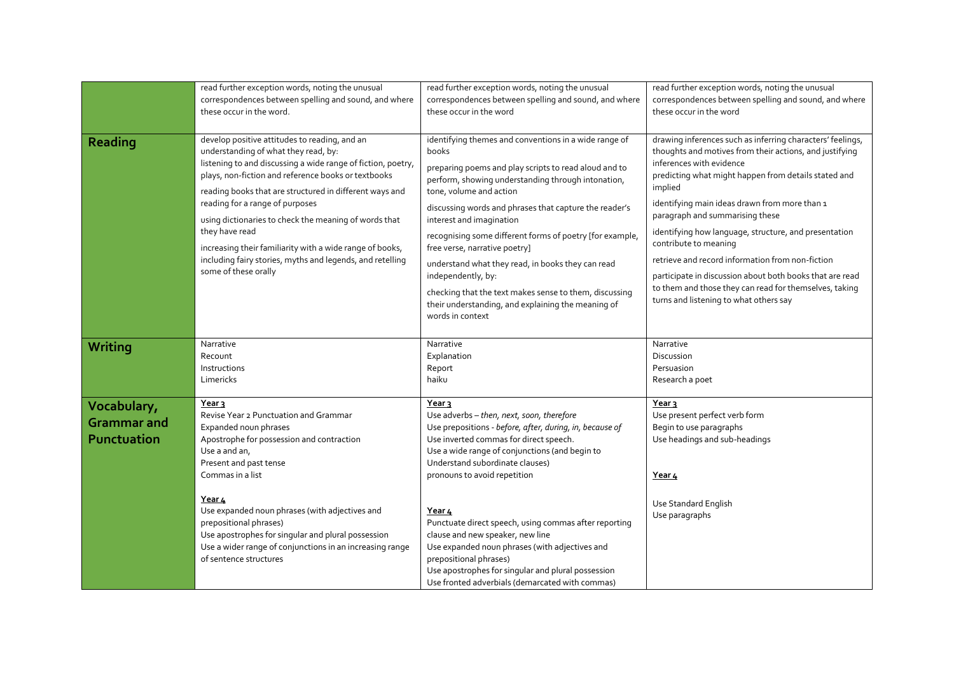|                                                  | read further exception words, noting the unusual<br>correspondences between spelling and sound, and where                                                                                                                                                                                                                                                                                                                                                                                                                              | read further exception words, noting the unusual<br>correspondences between spelling and sound, and where                                                                                                                                                                                                                                                                                                                                                                                                                                                                                                  | read further exception words, noting the unusual<br>correspondences between spelling and sound, and where                                                                                                                                                                                                                                                                                                                                                                                                                                                                                                      |
|--------------------------------------------------|----------------------------------------------------------------------------------------------------------------------------------------------------------------------------------------------------------------------------------------------------------------------------------------------------------------------------------------------------------------------------------------------------------------------------------------------------------------------------------------------------------------------------------------|------------------------------------------------------------------------------------------------------------------------------------------------------------------------------------------------------------------------------------------------------------------------------------------------------------------------------------------------------------------------------------------------------------------------------------------------------------------------------------------------------------------------------------------------------------------------------------------------------------|----------------------------------------------------------------------------------------------------------------------------------------------------------------------------------------------------------------------------------------------------------------------------------------------------------------------------------------------------------------------------------------------------------------------------------------------------------------------------------------------------------------------------------------------------------------------------------------------------------------|
|                                                  | these occur in the word.                                                                                                                                                                                                                                                                                                                                                                                                                                                                                                               | these occur in the word                                                                                                                                                                                                                                                                                                                                                                                                                                                                                                                                                                                    | these occur in the word                                                                                                                                                                                                                                                                                                                                                                                                                                                                                                                                                                                        |
| Reading                                          | develop positive attitudes to reading, and an<br>understanding of what they read, by:<br>listening to and discussing a wide range of fiction, poetry,<br>plays, non-fiction and reference books or textbooks<br>reading books that are structured in different ways and<br>reading for a range of purposes<br>using dictionaries to check the meaning of words that<br>they have read<br>increasing their familiarity with a wide range of books,<br>including fairy stories, myths and legends, and retelling<br>some of these orally | identifying themes and conventions in a wide range of<br>books<br>preparing poems and play scripts to read aloud and to<br>perform, showing understanding through intonation,<br>tone, volume and action<br>discussing words and phrases that capture the reader's<br>interest and imagination<br>recognising some different forms of poetry [for example,<br>free verse, narrative poetry]<br>understand what they read, in books they can read<br>independently, by:<br>checking that the text makes sense to them, discussing<br>their understanding, and explaining the meaning of<br>words in context | drawing inferences such as inferring characters' feelings,<br>thoughts and motives from their actions, and justifying<br>inferences with evidence<br>predicting what might happen from details stated and<br>implied<br>identifying main ideas drawn from more than 1<br>paragraph and summarising these<br>identifying how language, structure, and presentation<br>contribute to meaning<br>retrieve and record information from non-fiction<br>participate in discussion about both books that are read<br>to them and those they can read for themselves, taking<br>turns and listening to what others say |
| Writing                                          | Narrative<br>Recount<br>Instructions<br>Limericks                                                                                                                                                                                                                                                                                                                                                                                                                                                                                      | Narrative<br>Explanation<br>Report<br>haiku                                                                                                                                                                                                                                                                                                                                                                                                                                                                                                                                                                | Narrative<br>Discussion<br>Persuasion<br>Research a poet                                                                                                                                                                                                                                                                                                                                                                                                                                                                                                                                                       |
| Vocabulary,<br><b>Grammar and</b><br>Punctuation | Year 3<br>Revise Year 2 Punctuation and Grammar<br>Expanded noun phrases<br>Apostrophe for possession and contraction<br>Use a and an,<br>Present and past tense<br>Commas in a list<br>Year 4<br>Use expanded noun phrases (with adjectives and<br>prepositional phrases)<br>Use apostrophes for singular and plural possession<br>Use a wider range of conjunctions in an increasing range<br>of sentence structures                                                                                                                 | Year <sub>3</sub><br>Use adverbs - then, next, soon, therefore<br>Use prepositions - before, after, during, in, because of<br>Use inverted commas for direct speech.<br>Use a wide range of conjunctions (and begin to<br>Understand subordinate clauses)<br>pronouns to avoid repetition<br>Year 4<br>Punctuate direct speech, using commas after reporting<br>clause and new speaker, new line<br>Use expanded noun phrases (with adjectives and<br>prepositional phrases)<br>Use apostrophes for singular and plural possession<br>Use fronted adverbials (demarcated with commas)                      | Year 3<br>Use present perfect verb form<br>Begin to use paragraphs<br>Use headings and sub-headings<br><u>Year 4</u><br>Use Standard English<br>Use paragraphs                                                                                                                                                                                                                                                                                                                                                                                                                                                 |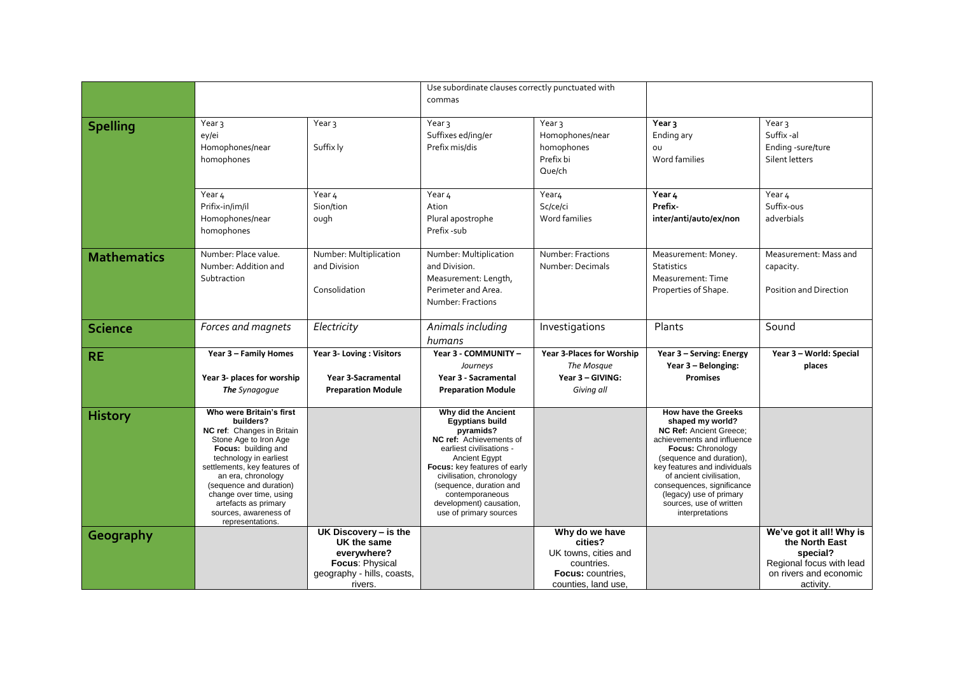|                    |                                                                                                                                                                                                                                                                                                                                |                                                                                                                 | Use subordinate clauses correctly punctuated with<br>commas                                                                                                                                                                                                                                              |                                                                                                                    |                                                                                                                                                                                                                                                                                                                             |                                                                                                                           |
|--------------------|--------------------------------------------------------------------------------------------------------------------------------------------------------------------------------------------------------------------------------------------------------------------------------------------------------------------------------|-----------------------------------------------------------------------------------------------------------------|----------------------------------------------------------------------------------------------------------------------------------------------------------------------------------------------------------------------------------------------------------------------------------------------------------|--------------------------------------------------------------------------------------------------------------------|-----------------------------------------------------------------------------------------------------------------------------------------------------------------------------------------------------------------------------------------------------------------------------------------------------------------------------|---------------------------------------------------------------------------------------------------------------------------|
|                    |                                                                                                                                                                                                                                                                                                                                |                                                                                                                 |                                                                                                                                                                                                                                                                                                          |                                                                                                                    |                                                                                                                                                                                                                                                                                                                             |                                                                                                                           |
| <b>Spelling</b>    | Year <sub>3</sub><br>ey/ei<br>Homophones/near<br>homophones                                                                                                                                                                                                                                                                    | Year <sub>3</sub><br>Suffix ly                                                                                  | Year <sub>3</sub><br>Suffixes ed/ing/er<br>Prefix mis/dis                                                                                                                                                                                                                                                | Year <sub>3</sub><br>Homophones/near<br>homophones<br>Prefix bi<br>Que/ch                                          | Year 3<br>Ending ary<br>OU<br>Word families                                                                                                                                                                                                                                                                                 | Year <sub>3</sub><br>Suffix-al<br>Ending -sure/ture<br>Silent letters                                                     |
|                    | Year 4<br>Prifix-in/im/il<br>Homophones/near<br>homophones                                                                                                                                                                                                                                                                     | Year 4<br>Sion/tion<br>ough                                                                                     | Year 4<br>Ation<br>Plural apostrophe<br>Prefix -sub                                                                                                                                                                                                                                                      | Year <sub>4</sub><br>Sc/ce/ci<br>Word families                                                                     | Year 4<br>Prefix-<br>inter/anti/auto/ex/non                                                                                                                                                                                                                                                                                 | Year 4<br>Suffix-ous<br>adverbials                                                                                        |
| <b>Mathematics</b> | Number: Place value.<br>Number: Addition and<br>Subtraction                                                                                                                                                                                                                                                                    | Number: Multiplication<br>and Division<br>Consolidation                                                         | Number: Multiplication<br>and Division.<br>Measurement: Length,<br>Perimeter and Area.<br>Number: Fractions                                                                                                                                                                                              | Number: Fractions<br>Number: Decimals                                                                              | Measurement: Money.<br><b>Statistics</b><br>Measurement: Time<br>Properties of Shape.                                                                                                                                                                                                                                       | Measurement: Mass and<br>capacity.<br>Position and Direction                                                              |
| <b>Science</b>     | Forces and magnets                                                                                                                                                                                                                                                                                                             | Electricity                                                                                                     | Animals including<br>humans                                                                                                                                                                                                                                                                              | Investigations                                                                                                     | Plants                                                                                                                                                                                                                                                                                                                      | Sound                                                                                                                     |
| <b>RE</b>          | Year 3 - Family Homes<br>Year 3- places for worship<br>The Synagogue                                                                                                                                                                                                                                                           | Year 3- Loving: Visitors<br>Year 3-Sacramental<br><b>Preparation Module</b>                                     | Year 3 - COMMUNITY -<br>Journeys<br>Year 3 - Sacramental<br><b>Preparation Module</b>                                                                                                                                                                                                                    | <b>Year 3-Places for Worship</b><br>The Mosque<br>Year 3 - GIVING:<br>Giving all                                   | Year 3 - Serving: Energy<br>Year 3 - Belonging:<br><b>Promises</b>                                                                                                                                                                                                                                                          | Year 3 - World: Special<br>places                                                                                         |
| <b>History</b>     | Who were Britain's first<br>builders?<br>NC ref: Changes in Britain<br>Stone Age to Iron Age<br>Focus: building and<br>technology in earliest<br>settlements, key features of<br>an era, chronology<br>(sequence and duration)<br>change over time, using<br>artefacts as primary<br>sources, awareness of<br>representations. |                                                                                                                 | Why did the Ancient<br><b>Egyptians build</b><br>pyramids?<br>NC ref: Achievements of<br>earliest civilisations -<br>Ancient Egypt<br><b>Focus:</b> key features of early<br>civilisation, chronology<br>(sequence, duration and<br>contemporaneous<br>development) causation,<br>use of primary sources |                                                                                                                    | How have the Greeks<br>shaped my world?<br><b>NC Ref: Ancient Greece:</b><br>achievements and influence<br>Focus: Chronology<br>(sequence and duration),<br>key features and individuals<br>of ancient civilisation,<br>consequences, significance<br>(legacy) use of primary<br>sources, use of written<br>interpretations |                                                                                                                           |
| Geography          |                                                                                                                                                                                                                                                                                                                                | UK Discovery - is the<br>UK the same<br>everywhere?<br>Focus: Physical<br>geography - hills, coasts,<br>rivers. |                                                                                                                                                                                                                                                                                                          | Why do we have<br>cities?<br>UK towns, cities and<br>countries.<br><b>Focus: countries.</b><br>counties, land use, |                                                                                                                                                                                                                                                                                                                             | We've got it all! Why is<br>the North East<br>special?<br>Regional focus with lead<br>on rivers and economic<br>activity. |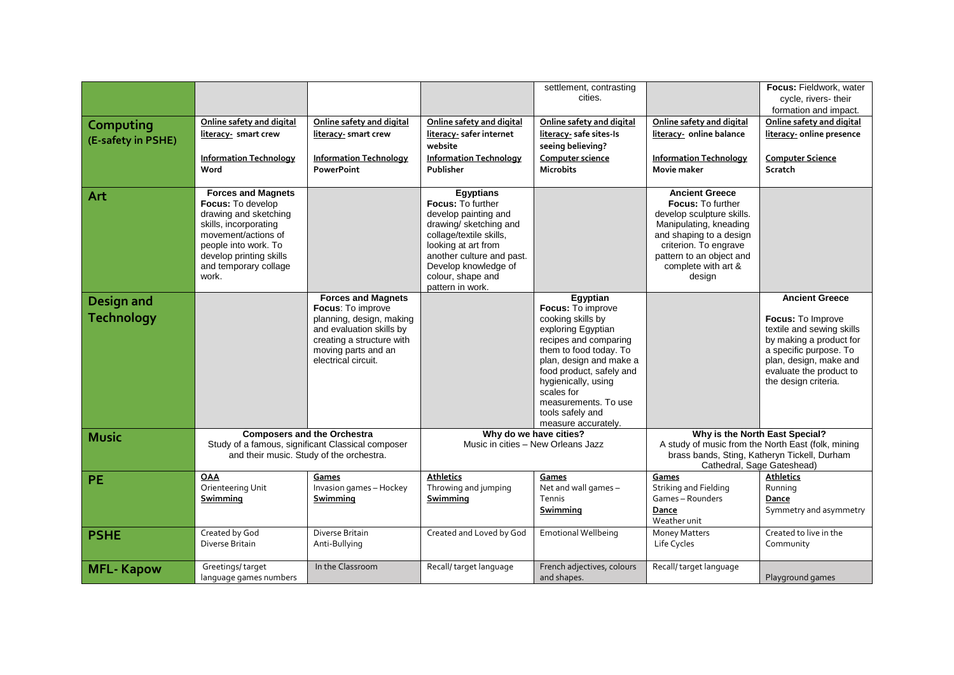|                                 |                                                                                                                                                                                                              |                                                                                                                                                                                   |                                                                                                                                                                                                                                                | settlement, contrasting<br>cities.                                                                                                                                                                                                                                                         |                                                                                                                                                                                                                           | Focus: Fieldwork, water<br>cycle, rivers-their<br>formation and impact.                                                                                                                                          |
|---------------------------------|--------------------------------------------------------------------------------------------------------------------------------------------------------------------------------------------------------------|-----------------------------------------------------------------------------------------------------------------------------------------------------------------------------------|------------------------------------------------------------------------------------------------------------------------------------------------------------------------------------------------------------------------------------------------|--------------------------------------------------------------------------------------------------------------------------------------------------------------------------------------------------------------------------------------------------------------------------------------------|---------------------------------------------------------------------------------------------------------------------------------------------------------------------------------------------------------------------------|------------------------------------------------------------------------------------------------------------------------------------------------------------------------------------------------------------------|
| Computing<br>(E-safety in PSHE) | Online safety and digital<br>literacy- smart crew                                                                                                                                                            | Online safety and digital<br>literacy- smart crew                                                                                                                                 | Online safety and digital<br>literacy- safer internet<br>website                                                                                                                                                                               | Online safety and digital<br>literacy- safe sites-Is<br>seeing believing?                                                                                                                                                                                                                  | Online safety and digital<br>literacy- online balance                                                                                                                                                                     | Online safety and digital<br>literacy- online presence                                                                                                                                                           |
|                                 | <b>Information Technology</b><br>Word                                                                                                                                                                        | <b>Information Technology</b><br><b>PowerPoint</b>                                                                                                                                | <b>Information Technology</b><br>Publisher                                                                                                                                                                                                     | Computer science<br><b>Microbits</b>                                                                                                                                                                                                                                                       | <b>Information Technology</b><br><b>Movie maker</b>                                                                                                                                                                       | <b>Computer Science</b><br>Scratch                                                                                                                                                                               |
| Art                             | <b>Forces and Magnets</b><br>Focus: To develop<br>drawing and sketching<br>skills, incorporating<br>movement/actions of<br>people into work. To<br>develop printing skills<br>and temporary collage<br>work. |                                                                                                                                                                                   | <b>Egyptians</b><br><b>Focus: To further</b><br>develop painting and<br>drawing/ sketching and<br>collage/textile skills,<br>looking at art from<br>another culture and past.<br>Develop knowledge of<br>colour, shape and<br>pattern in work. |                                                                                                                                                                                                                                                                                            | <b>Ancient Greece</b><br><b>Focus:</b> To further<br>develop sculpture skills.<br>Manipulating, kneading<br>and shaping to a design<br>criterion. To engrave<br>pattern to an object and<br>complete with art &<br>design |                                                                                                                                                                                                                  |
| Design and<br><b>Technology</b> |                                                                                                                                                                                                              | <b>Forces and Magnets</b><br>Focus: To improve<br>planning, design, making<br>and evaluation skills by<br>creating a structure with<br>moving parts and an<br>electrical circuit. |                                                                                                                                                                                                                                                | Egyptian<br>Focus: To improve<br>cooking skills by<br>exploring Egyptian<br>recipes and comparing<br>them to food today. To<br>plan, design and make a<br>food product, safely and<br>hygienically, using<br>scales for<br>measurements. To use<br>tools safely and<br>measure accurately. |                                                                                                                                                                                                                           | <b>Ancient Greece</b><br><b>Focus:</b> To Improve<br>textile and sewing skills<br>by making a product for<br>a specific purpose. To<br>plan, design, make and<br>evaluate the product to<br>the design criteria. |
| <b>Music</b>                    |                                                                                                                                                                                                              | <b>Composers and the Orchestra</b><br>Study of a famous, significant Classical composer<br>and their music. Study of the orchestra.                                               |                                                                                                                                                                                                                                                | Why do we have cities?<br>Music in cities - New Orleans Jazz                                                                                                                                                                                                                               | Cathedral, Sage Gateshead)                                                                                                                                                                                                | Why is the North East Special?<br>A study of music from the North East (folk, mining<br>brass bands, Sting, Katheryn Tickell, Durham                                                                             |
| <b>PE</b>                       | <b>OAA</b><br>Orienteering Unit<br>Swimming                                                                                                                                                                  | Games<br>Invasion games - Hockey<br>Swimming                                                                                                                                      | <b>Athletics</b><br>Throwing and jumping<br>Swimming                                                                                                                                                                                           | Games<br>Net and wall games -<br>Tennis<br>Swimming                                                                                                                                                                                                                                        | Games<br><b>Striking and Fielding</b><br>Games-Rounders<br>Dance<br>Weather unit                                                                                                                                          | <b>Athletics</b><br>Running<br>Dance<br>Symmetry and asymmetry                                                                                                                                                   |
| <b>PSHE</b>                     | Created by God<br>Diverse Britain                                                                                                                                                                            | Diverse Britain<br>Anti-Bullying                                                                                                                                                  | Created and Loved by God                                                                                                                                                                                                                       | <b>Emotional Wellbeing</b>                                                                                                                                                                                                                                                                 | Money Matters<br>Life Cycles                                                                                                                                                                                              | Created to live in the<br>Community                                                                                                                                                                              |
| <b>MFL-Kapow</b>                | Greetings/target<br>language games numbers                                                                                                                                                                   | In the Classroom                                                                                                                                                                  | Recall/target language                                                                                                                                                                                                                         | French adjectives, colours<br>and shapes.                                                                                                                                                                                                                                                  | Recall/target language                                                                                                                                                                                                    | Playground games                                                                                                                                                                                                 |